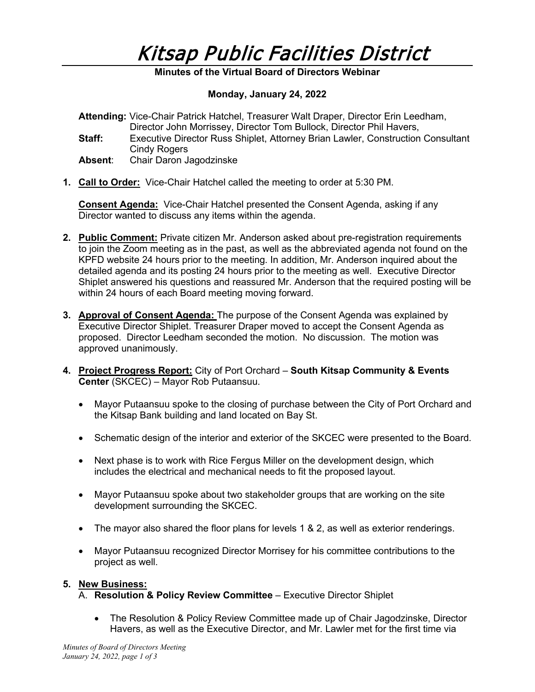

# **Minutes of the Virtual Board of Directors Webinar**

### **Monday, January 24, 2022**

|         | <b>Attending:</b> Vice-Chair Patrick Hatchel, Treasurer Walt Draper, Director Erin Leedham, |
|---------|---------------------------------------------------------------------------------------------|
|         | Director John Morrissey, Director Tom Bullock, Director Phil Havers,                        |
| Staff:  | Executive Director Russ Shiplet, Attorney Brian Lawler, Construction Consultant             |
|         | Cindy Rogers                                                                                |
| Absent: | Chair Daron Jagodzinske                                                                     |

**1. Call to Order:** Vice-Chair Hatchel called the meeting to order at 5:30 PM.

**Consent Agenda:** Vice-Chair Hatchel presented the Consent Agenda, asking if any Director wanted to discuss any items within the agenda.

- **2. Public Comment:** Private citizen Mr. Anderson asked about pre-registration requirements to join the Zoom meeting as in the past, as well as the abbreviated agenda not found on the KPFD website 24 hours prior to the meeting. In addition, Mr. Anderson inquired about the detailed agenda and its posting 24 hours prior to the meeting as well. Executive Director Shiplet answered his questions and reassured Mr. Anderson that the required posting will be within 24 hours of each Board meeting moving forward.
- **3. Approval of Consent Agenda:** The purpose of the Consent Agenda was explained by Executive Director Shiplet. Treasurer Draper moved to accept the Consent Agenda as proposed. Director Leedham seconded the motion. No discussion. The motion was approved unanimously.
- **4. Project Progress Report:** City of Port Orchard **South Kitsap Community & Events Center** (SKCEC) – Mayor Rob Putaansuu.
	- Mayor Putaansuu spoke to the closing of purchase between the City of Port Orchard and the Kitsap Bank building and land located on Bay St.
	- Schematic design of the interior and exterior of the SKCEC were presented to the Board.
	- Next phase is to work with Rice Fergus Miller on the development design, which includes the electrical and mechanical needs to fit the proposed layout.
	- Mayor Putaansuu spoke about two stakeholder groups that are working on the site development surrounding the SKCEC.
	- The mayor also shared the floor plans for levels 1 & 2, as well as exterior renderings.
	- Mayor Putaansuu recognized Director Morrisey for his committee contributions to the project as well.

#### **5. New Business:**

- A. **Resolution & Policy Review Committee** Executive Director Shiplet
	- The Resolution & Policy Review Committee made up of Chair Jagodzinske, Director Havers, as well as the Executive Director, and Mr. Lawler met for the first time via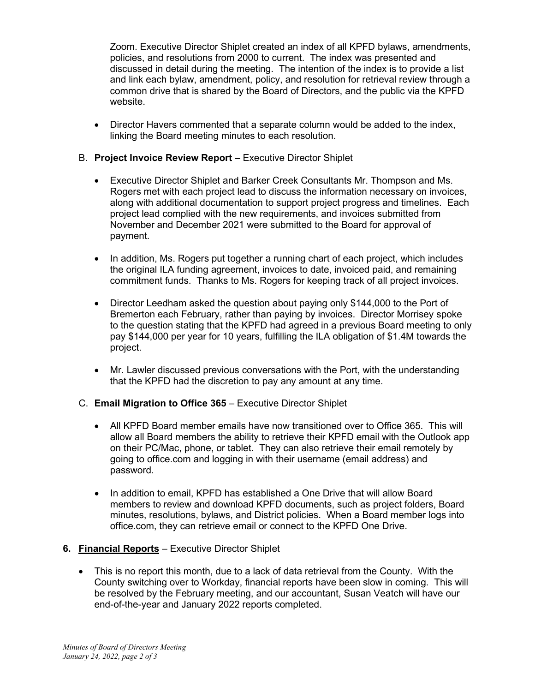Zoom. Executive Director Shiplet created an index of all KPFD bylaws, amendments, policies, and resolutions from 2000 to current. The index was presented and discussed in detail during the meeting. The intention of the index is to provide a list and link each bylaw, amendment, policy, and resolution for retrieval review through a common drive that is shared by the Board of Directors, and the public via the KPFD website.

• Director Havers commented that a separate column would be added to the index, linking the Board meeting minutes to each resolution.

# B. **Project Invoice Review Report** – Executive Director Shiplet

- Executive Director Shiplet and Barker Creek Consultants Mr. Thompson and Ms. Rogers met with each project lead to discuss the information necessary on invoices, along with additional documentation to support project progress and timelines. Each project lead complied with the new requirements, and invoices submitted from November and December 2021 were submitted to the Board for approval of payment.
- In addition, Ms. Rogers put together a running chart of each project, which includes the original ILA funding agreement, invoices to date, invoiced paid, and remaining commitment funds. Thanks to Ms. Rogers for keeping track of all project invoices.
- Director Leedham asked the question about paying only \$144,000 to the Port of Bremerton each February, rather than paying by invoices. Director Morrisey spoke to the question stating that the KPFD had agreed in a previous Board meeting to only pay \$144,000 per year for 10 years, fulfilling the ILA obligation of \$1.4M towards the project.
- Mr. Lawler discussed previous conversations with the Port, with the understanding that the KPFD had the discretion to pay any amount at any time.
- C. **Email Migration to Office 365** Executive Director Shiplet
	- All KPFD Board member emails have now transitioned over to Office 365. This will allow all Board members the ability to retrieve their KPFD email with the Outlook app on their PC/Mac, phone, or tablet. They can also retrieve their email remotely by going to office.com and logging in with their username (email address) and password.
	- In addition to email, KPFD has established a One Drive that will allow Board members to review and download KPFD documents, such as project folders, Board minutes, resolutions, bylaws, and District policies. When a Board member logs into office.com, they can retrieve email or connect to the KPFD One Drive.

## **6. Financial Reports** – Executive Director Shiplet

• This is no report this month, due to a lack of data retrieval from the County. With the County switching over to Workday, financial reports have been slow in coming. This will be resolved by the February meeting, and our accountant, Susan Veatch will have our end-of-the-year and January 2022 reports completed.